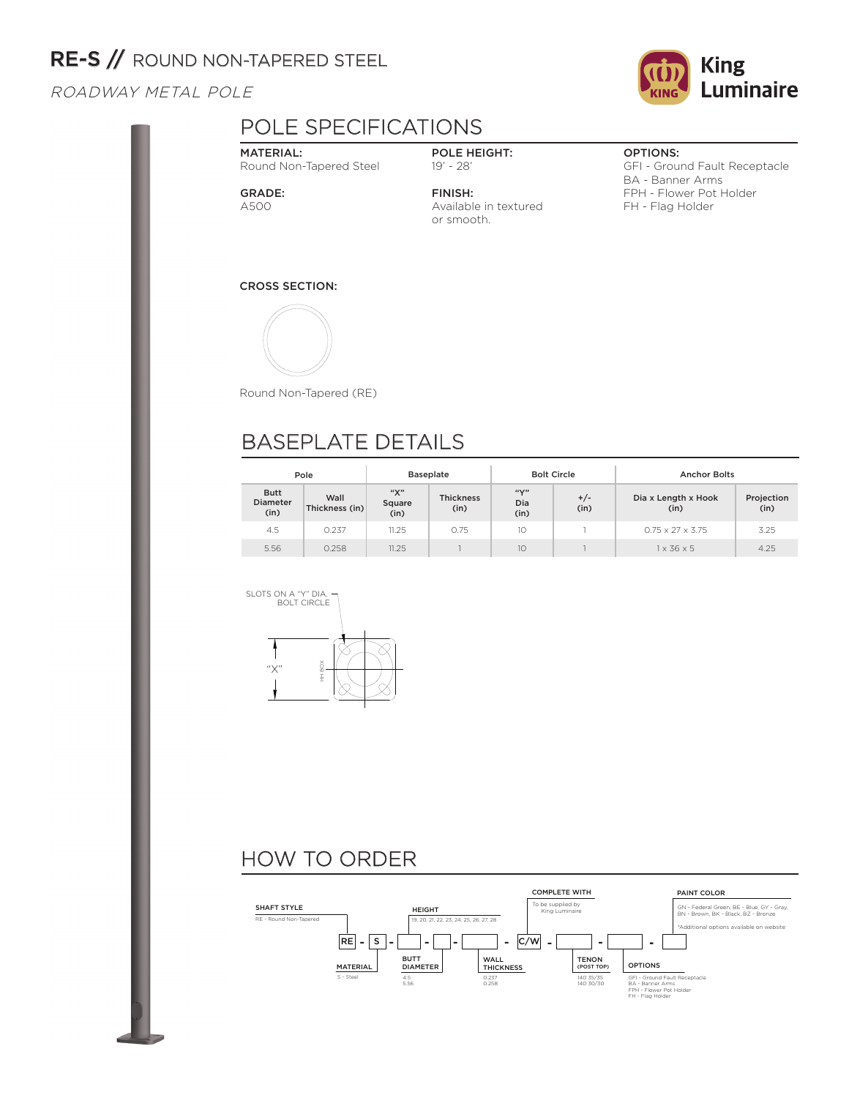## RE-S // ROUND NON-TAPERED STEEL

#### ROADWAY METAL POLE

## POLE SPECIFICATIONS

#### MATERIAL:

Round Non-Tapered Steel

#### GRADE: A500

POLE HEIGHT: 19' - 28'

FINISH: Available in textured or smooth.

#### OPTIONS:

GFI - Ground Fault Receptacle BA - Banner Arms FPH - Flower Pot Holder FH - Flag Holder

#### CROSS SECTION:



Round Non-Tapered (RE)

## BASEPLATE DETAILS

|                                        | Pole                   | <b>Baseplate</b>      |                          |                                  | <b>Bolt Circle</b> | <b>Anchor Bolts</b>          |                    |  |
|----------------------------------------|------------------------|-----------------------|--------------------------|----------------------------------|--------------------|------------------------------|--------------------|--|
| <b>Butt</b><br><b>Diameter</b><br>(in) | Wall<br>Thickness (in) | "Х"<br>Square<br>(in) | <b>Thickness</b><br>(in) | $\mathbf{W}^{11}$<br>Dia<br>(in) | $+/-$<br>(in)      | Dia x Length x Hook<br>(in)  | Projection<br>(in) |  |
| 4.5                                    | 0.237                  | 11.25                 | 0.75                     | 10                               |                    | $0.75 \times 27 \times 3.75$ | 3.25               |  |
| 5.56                                   | 0.258                  | 11.25                 |                          | 10                               |                    | $1 \times 36 \times 5$       | 4.25               |  |



## HOW TO ORDER